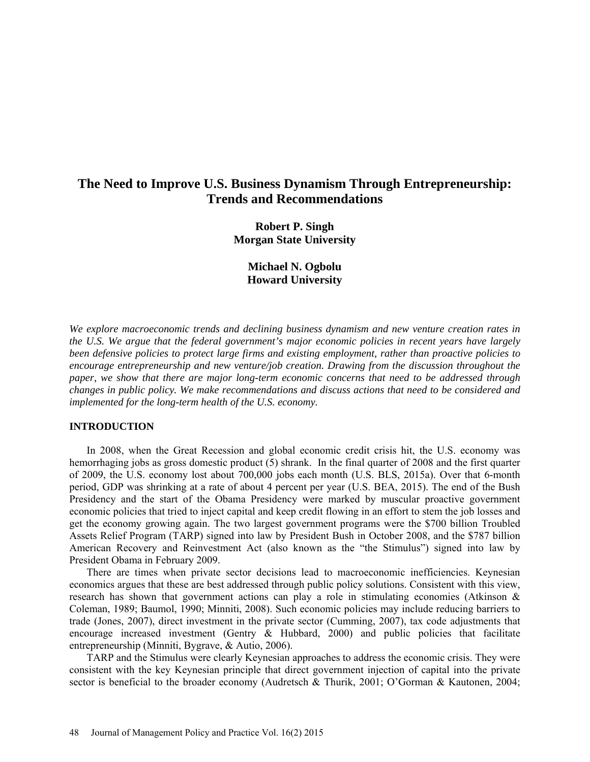# **The Need to Improve U.S. Business Dynamism Through Entrepreneurship: Trends and Recommendations**

**Robert P. Singh Morgan State University**

> **Michael N. Ogbolu Howard University**

*We explore macroeconomic trends and declining business dynamism and new venture creation rates in the U.S. We argue that the federal government's major economic policies in recent years have largely been defensive policies to protect large firms and existing employment, rather than proactive policies to encourage entrepreneurship and new venture/job creation. Drawing from the discussion throughout the paper, we show that there are major long-term economic concerns that need to be addressed through changes in public policy. We make recommendations and discuss actions that need to be considered and implemented for the long-term health of the U.S. economy.* 

## **INTRODUCTION**

In 2008, when the Great Recession and global economic credit crisis hit, the U.S. economy was hemorrhaging jobs as gross domestic product (5) shrank. In the final quarter of 2008 and the first quarter of 2009, the U.S. economy lost about 700,000 jobs each month (U.S. BLS, 2015a). Over that 6-month period, GDP was shrinking at a rate of about 4 percent per year (U.S. BEA, 2015). The end of the Bush Presidency and the start of the Obama Presidency were marked by muscular proactive government economic policies that tried to inject capital and keep credit flowing in an effort to stem the job losses and get the economy growing again. The two largest government programs were the \$700 billion Troubled Assets Relief Program (TARP) signed into law by President Bush in October 2008, and the \$787 billion American Recovery and Reinvestment Act (also known as the "the Stimulus") signed into law by President Obama in February 2009.

There are times when private sector decisions lead to macroeconomic inefficiencies. Keynesian economics argues that these are best addressed through public policy solutions. Consistent with this view, research has shown that government actions can play a role in stimulating economies (Atkinson & Coleman, 1989; Baumol, 1990; Minniti, 2008). Such economic policies may include reducing barriers to trade (Jones, 2007), direct investment in the private sector (Cumming, 2007), tax code adjustments that encourage increased investment (Gentry  $\&$  Hubbard, 2000) and public policies that facilitate entrepreneurship (Minniti, Bygrave, & Autio, 2006).

TARP and the Stimulus were clearly Keynesian approaches to address the economic crisis. They were consistent with the key Keynesian principle that direct government injection of capital into the private sector is beneficial to the broader economy (Audretsch & Thurik, 2001; O'Gorman & Kautonen, 2004;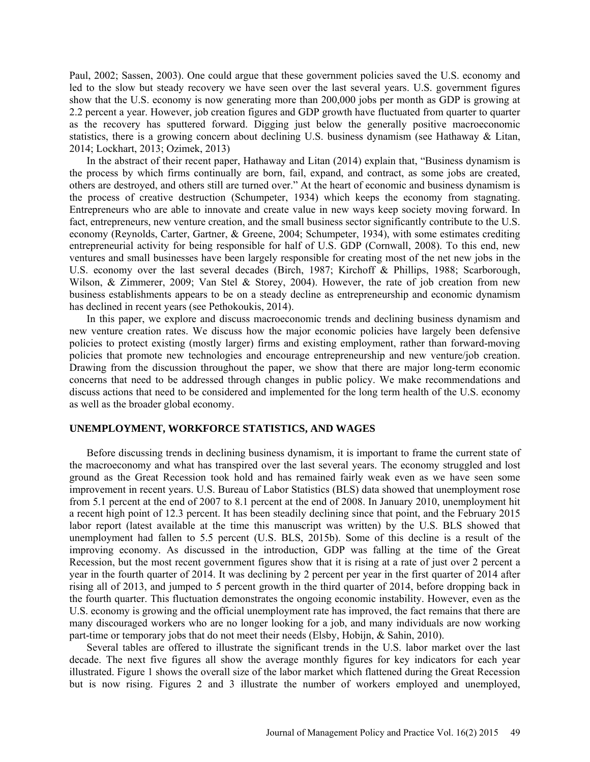Paul, 2002; Sassen, 2003). One could argue that these government policies saved the U.S. economy and led to the slow but steady recovery we have seen over the last several years. U.S. government figures show that the U.S. economy is now generating more than 200,000 jobs per month as GDP is growing at 2.2 percent a year. However, job creation figures and GDP growth have fluctuated from quarter to quarter as the recovery has sputtered forward. Digging just below the generally positive macroeconomic statistics, there is a growing concern about declining U.S. business dynamism (see Hathaway & Litan, 2014; Lockhart, 2013; Ozimek, 2013)

In the abstract of their recent paper, Hathaway and Litan (2014) explain that, "Business dynamism is the process by which firms continually are born, fail, expand, and contract, as some jobs are created, others are destroyed, and others still are turned over." At the heart of economic and business dynamism is the process of creative destruction (Schumpeter, 1934) which keeps the economy from stagnating. Entrepreneurs who are able to innovate and create value in new ways keep society moving forward. In fact, entrepreneurs, new venture creation, and the small business sector significantly contribute to the U.S. economy (Reynolds, Carter, Gartner, & Greene, 2004; Schumpeter, 1934), with some estimates crediting entrepreneurial activity for being responsible for half of U.S. GDP (Cornwall, 2008). To this end, new ventures and small businesses have been largely responsible for creating most of the net new jobs in the U.S. economy over the last several decades (Birch, 1987; Kirchoff & Phillips, 1988; Scarborough, Wilson, & Zimmerer, 2009; Van Stel & Storey, 2004). However, the rate of job creation from new business establishments appears to be on a steady decline as entrepreneurship and economic dynamism has declined in recent years (see Pethokoukis, 2014).

In this paper, we explore and discuss macroeconomic trends and declining business dynamism and new venture creation rates. We discuss how the major economic policies have largely been defensive policies to protect existing (mostly larger) firms and existing employment, rather than forward-moving policies that promote new technologies and encourage entrepreneurship and new venture/job creation. Drawing from the discussion throughout the paper, we show that there are major long-term economic concerns that need to be addressed through changes in public policy. We make recommendations and discuss actions that need to be considered and implemented for the long term health of the U.S. economy as well as the broader global economy.

## **UNEMPLOYMENT, WORKFORCE STATISTICS, AND WAGES**

Before discussing trends in declining business dynamism, it is important to frame the current state of the macroeconomy and what has transpired over the last several years. The economy struggled and lost ground as the Great Recession took hold and has remained fairly weak even as we have seen some improvement in recent years. U.S. Bureau of Labor Statistics (BLS) data showed that unemployment rose from 5.1 percent at the end of 2007 to 8.1 percent at the end of 2008. In January 2010, unemployment hit a recent high point of 12.3 percent. It has been steadily declining since that point, and the February 2015 labor report (latest available at the time this manuscript was written) by the U.S. BLS showed that unemployment had fallen to 5.5 percent (U.S. BLS, 2015b). Some of this decline is a result of the improving economy. As discussed in the introduction, GDP was falling at the time of the Great Recession, but the most recent government figures show that it is rising at a rate of just over 2 percent a year in the fourth quarter of 2014. It was declining by 2 percent per year in the first quarter of 2014 after rising all of 2013, and jumped to 5 percent growth in the third quarter of 2014, before dropping back in the fourth quarter. This fluctuation demonstrates the ongoing economic instability. However, even as the U.S. economy is growing and the official unemployment rate has improved, the fact remains that there are many discouraged workers who are no longer looking for a job, and many individuals are now working part-time or temporary jobs that do not meet their needs (Elsby, Hobijn, & Sahin, 2010).

Several tables are offered to illustrate the significant trends in the U.S. labor market over the last decade. The next five figures all show the average monthly figures for key indicators for each year illustrated. Figure 1 shows the overall size of the labor market which flattened during the Great Recession but is now rising. Figures 2 and 3 illustrate the number of workers employed and unemployed,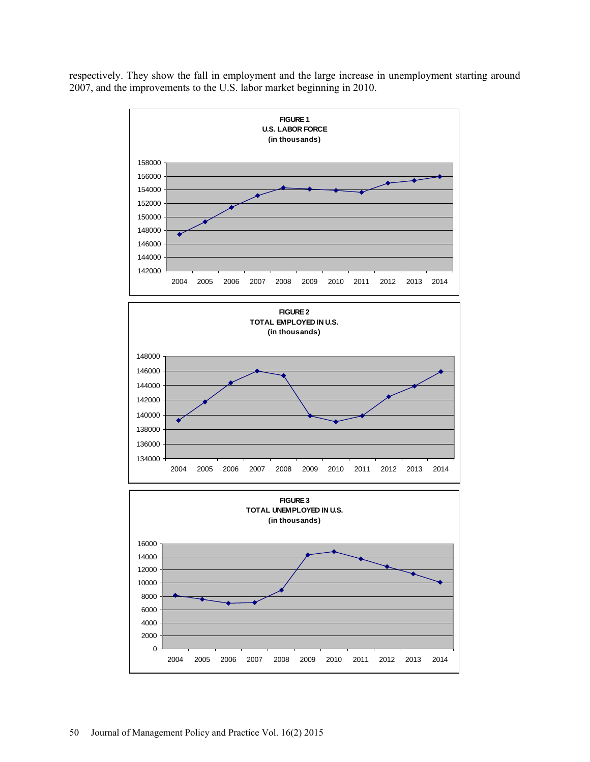respectively. They show the fall in employment and the large increase in unemployment starting around 2007, and the improvements to the U.S. labor market beginning in 2010.

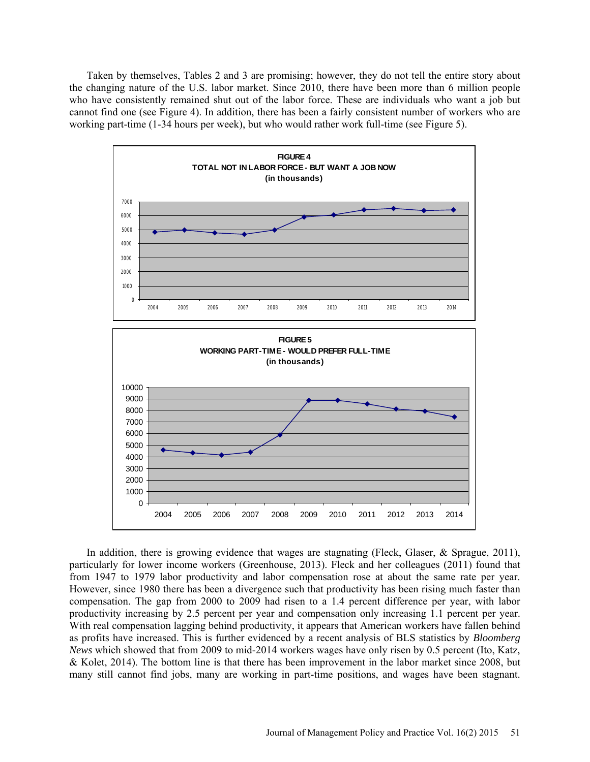Taken by themselves, Tables 2 and 3 are promising; however, they do not tell the entire story about the changing nature of the U.S. labor market. Since 2010, there have been more than 6 million people who have consistently remained shut out of the labor force. These are individuals who want a job but cannot find one (see Figure 4). In addition, there has been a fairly consistent number of workers who are working part-time (1-34 hours per week), but who would rather work full-time (see Figure 5).



In addition, there is growing evidence that wages are stagnating (Fleck, Glaser, & Sprague, 2011), particularly for lower income workers (Greenhouse, 2013). Fleck and her colleagues (2011) found that from 1947 to 1979 labor productivity and labor compensation rose at about the same rate per year. However, since 1980 there has been a divergence such that productivity has been rising much faster than compensation. The gap from 2000 to 2009 had risen to a 1.4 percent difference per year, with labor productivity increasing by 2.5 percent per year and compensation only increasing 1.1 percent per year. With real compensation lagging behind productivity, it appears that American workers have fallen behind as profits have increased. This is further evidenced by a recent analysis of BLS statistics by *Bloomberg News* which showed that from 2009 to mid-2014 workers wages have only risen by 0.5 percent (Ito, Katz, & Kolet, 2014). The bottom line is that there has been improvement in the labor market since 2008, but many still cannot find jobs, many are working in part-time positions, and wages have been stagnant.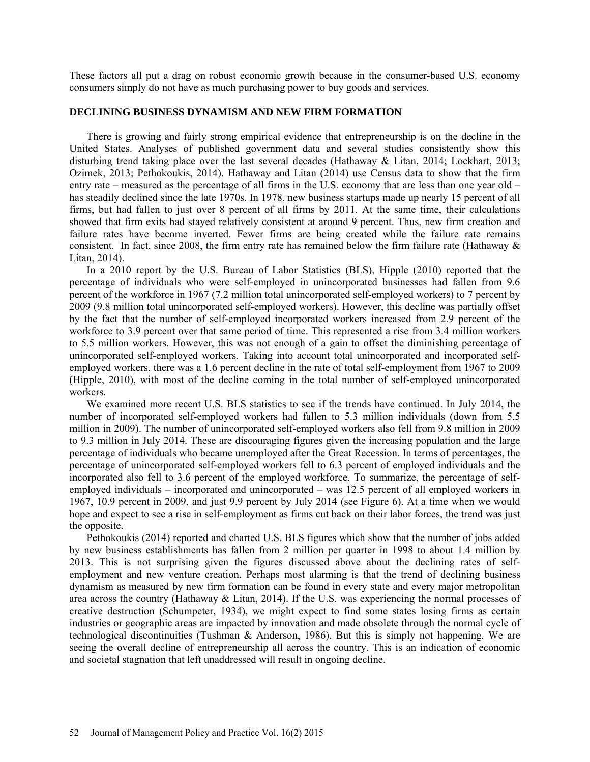These factors all put a drag on robust economic growth because in the consumer-based U.S. economy consumers simply do not have as much purchasing power to buy goods and services.

#### **DECLINING BUSINESS DYNAMISM AND NEW FIRM FORMATION**

There is growing and fairly strong empirical evidence that entrepreneurship is on the decline in the United States. Analyses of published government data and several studies consistently show this disturbing trend taking place over the last several decades (Hathaway & Litan, 2014; Lockhart, 2013; Ozimek, 2013; Pethokoukis, 2014). Hathaway and Litan (2014) use Census data to show that the firm entry rate – measured as the percentage of all firms in the U.S. economy that are less than one year old – has steadily declined since the late 1970s. In 1978, new business startups made up nearly 15 percent of all firms, but had fallen to just over 8 percent of all firms by 2011. At the same time, their calculations showed that firm exits had stayed relatively consistent at around 9 percent. Thus, new firm creation and failure rates have become inverted. Fewer firms are being created while the failure rate remains consistent. In fact, since 2008, the firm entry rate has remained below the firm failure rate (Hathaway  $\&$ Litan, 2014).

In a 2010 report by the U.S. Bureau of Labor Statistics (BLS), Hipple (2010) reported that the percentage of individuals who were self-employed in unincorporated businesses had fallen from 9.6 percent of the workforce in 1967 (7.2 million total unincorporated self-employed workers) to 7 percent by 2009 (9.8 million total unincorporated self-employed workers). However, this decline was partially offset by the fact that the number of self-employed incorporated workers increased from 2.9 percent of the workforce to 3.9 percent over that same period of time. This represented a rise from 3.4 million workers to 5.5 million workers. However, this was not enough of a gain to offset the diminishing percentage of unincorporated self-employed workers. Taking into account total unincorporated and incorporated selfemployed workers, there was a 1.6 percent decline in the rate of total self-employment from 1967 to 2009 (Hipple, 2010), with most of the decline coming in the total number of self-employed unincorporated workers.

We examined more recent U.S. BLS statistics to see if the trends have continued. In July 2014, the number of incorporated self-employed workers had fallen to 5.3 million individuals (down from 5.5 million in 2009). The number of unincorporated self-employed workers also fell from 9.8 million in 2009 to 9.3 million in July 2014. These are discouraging figures given the increasing population and the large percentage of individuals who became unemployed after the Great Recession. In terms of percentages, the percentage of unincorporated self-employed workers fell to 6.3 percent of employed individuals and the incorporated also fell to 3.6 percent of the employed workforce. To summarize, the percentage of selfemployed individuals – incorporated and unincorporated – was 12.5 percent of all employed workers in 1967, 10.9 percent in 2009, and just 9.9 percent by July 2014 (see Figure 6). At a time when we would hope and expect to see a rise in self-employment as firms cut back on their labor forces, the trend was just the opposite.

Pethokoukis (2014) reported and charted U.S. BLS figures which show that the number of jobs added by new business establishments has fallen from 2 million per quarter in 1998 to about 1.4 million by 2013. This is not surprising given the figures discussed above about the declining rates of selfemployment and new venture creation. Perhaps most alarming is that the trend of declining business dynamism as measured by new firm formation can be found in every state and every major metropolitan area across the country (Hathaway & Litan, 2014). If the U.S. was experiencing the normal processes of creative destruction (Schumpeter, 1934), we might expect to find some states losing firms as certain industries or geographic areas are impacted by innovation and made obsolete through the normal cycle of technological discontinuities (Tushman & Anderson, 1986). But this is simply not happening. We are seeing the overall decline of entrepreneurship all across the country. This is an indication of economic and societal stagnation that left unaddressed will result in ongoing decline.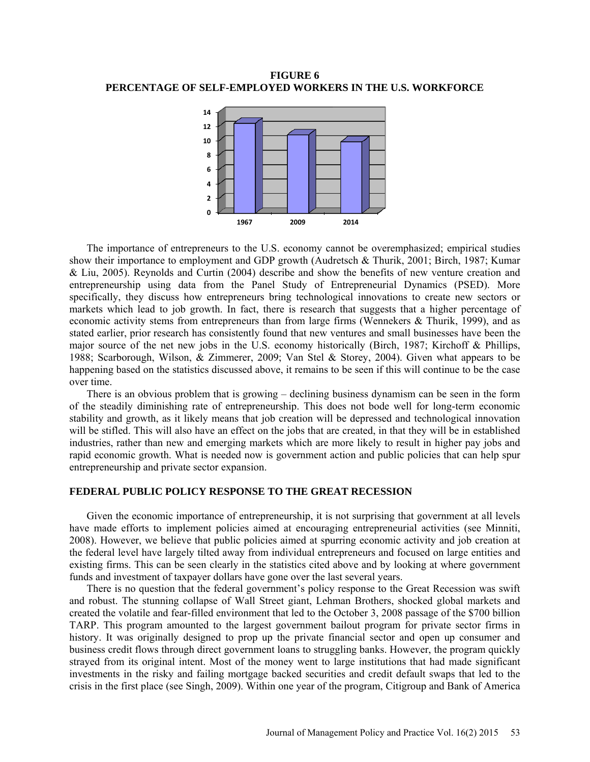**FIGURE 6 PERCENTAGE OF SELF-EMPLOYED WORKERS IN THE U.S. WORKFORCE**



The importance of entrepreneurs to the U.S. economy cannot be overemphasized; empirical studies show their importance to employment and GDP growth (Audretsch & Thurik, 2001; Birch, 1987; Kumar & Liu, 2005). Reynolds and Curtin (2004) describe and show the benefits of new venture creation and entrepreneurship using data from the Panel Study of Entrepreneurial Dynamics (PSED). More specifically, they discuss how entrepreneurs bring technological innovations to create new sectors or markets which lead to job growth. In fact, there is research that suggests that a higher percentage of economic activity stems from entrepreneurs than from large firms (Wennekers & Thurik, 1999), and as stated earlier, prior research has consistently found that new ventures and small businesses have been the major source of the net new jobs in the U.S. economy historically (Birch, 1987; Kirchoff & Phillips, 1988; Scarborough, Wilson, & Zimmerer, 2009; Van Stel & Storey, 2004). Given what appears to be happening based on the statistics discussed above, it remains to be seen if this will continue to be the case over time.

There is an obvious problem that is growing – declining business dynamism can be seen in the form of the steadily diminishing rate of entrepreneurship. This does not bode well for long-term economic stability and growth, as it likely means that job creation will be depressed and technological innovation will be stifled. This will also have an effect on the jobs that are created, in that they will be in established industries, rather than new and emerging markets which are more likely to result in higher pay jobs and rapid economic growth. What is needed now is government action and public policies that can help spur entrepreneurship and private sector expansion.

## **FEDERAL PUBLIC POLICY RESPONSE TO THE GREAT RECESSION**

Given the economic importance of entrepreneurship, it is not surprising that government at all levels have made efforts to implement policies aimed at encouraging entrepreneurial activities (see Minniti, 2008). However, we believe that public policies aimed at spurring economic activity and job creation at the federal level have largely tilted away from individual entrepreneurs and focused on large entities and existing firms. This can be seen clearly in the statistics cited above and by looking at where government funds and investment of taxpayer dollars have gone over the last several years.

There is no question that the federal government's policy response to the Great Recession was swift and robust. The stunning collapse of Wall Street giant, Lehman Brothers, shocked global markets and created the volatile and fear-filled environment that led to the October 3, 2008 passage of the \$700 billion TARP. This program amounted to the largest government bailout program for private sector firms in history. It was originally designed to prop up the private financial sector and open up consumer and business credit flows through direct government loans to struggling banks. However, the program quickly strayed from its original intent. Most of the money went to large institutions that had made significant investments in the risky and failing mortgage backed securities and credit default swaps that led to the crisis in the first place (see Singh, 2009). Within one year of the program, Citigroup and Bank of America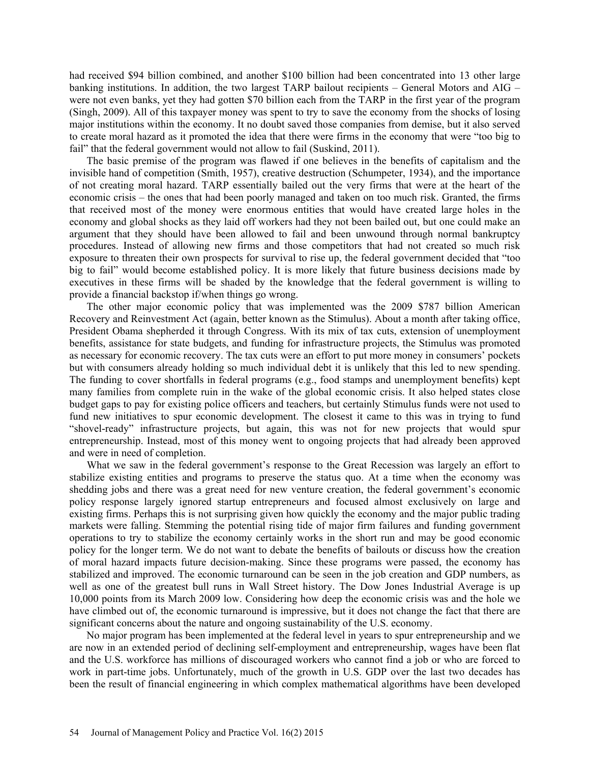had received \$94 billion combined, and another \$100 billion had been concentrated into 13 other large banking institutions. In addition, the two largest TARP bailout recipients – General Motors and AIG – were not even banks, yet they had gotten \$70 billion each from the TARP in the first year of the program (Singh, 2009). All of this taxpayer money was spent to try to save the economy from the shocks of losing major institutions within the economy. It no doubt saved those companies from demise, but it also served to create moral hazard as it promoted the idea that there were firms in the economy that were "too big to fail" that the federal government would not allow to fail (Suskind, 2011).

The basic premise of the program was flawed if one believes in the benefits of capitalism and the invisible hand of competition (Smith, 1957), creative destruction (Schumpeter, 1934), and the importance of not creating moral hazard. TARP essentially bailed out the very firms that were at the heart of the economic crisis – the ones that had been poorly managed and taken on too much risk. Granted, the firms that received most of the money were enormous entities that would have created large holes in the economy and global shocks as they laid off workers had they not been bailed out, but one could make an argument that they should have been allowed to fail and been unwound through normal bankruptcy procedures. Instead of allowing new firms and those competitors that had not created so much risk exposure to threaten their own prospects for survival to rise up, the federal government decided that "too big to fail" would become established policy. It is more likely that future business decisions made by executives in these firms will be shaded by the knowledge that the federal government is willing to provide a financial backstop if/when things go wrong.

The other major economic policy that was implemented was the 2009 \$787 billion American Recovery and Reinvestment Act (again, better known as the Stimulus). About a month after taking office, President Obama shepherded it through Congress. With its mix of tax cuts, extension of unemployment benefits, assistance for state budgets, and funding for infrastructure projects, the Stimulus was promoted as necessary for economic recovery. The tax cuts were an effort to put more money in consumers' pockets but with consumers already holding so much individual debt it is unlikely that this led to new spending. The funding to cover shortfalls in federal programs (e.g., food stamps and unemployment benefits) kept many families from complete ruin in the wake of the global economic crisis. It also helped states close budget gaps to pay for existing police officers and teachers, but certainly Stimulus funds were not used to fund new initiatives to spur economic development. The closest it came to this was in trying to fund "shovel-ready" infrastructure projects, but again, this was not for new projects that would spur entrepreneurship. Instead, most of this money went to ongoing projects that had already been approved and were in need of completion.

What we saw in the federal government's response to the Great Recession was largely an effort to stabilize existing entities and programs to preserve the status quo. At a time when the economy was shedding jobs and there was a great need for new venture creation, the federal government's economic policy response largely ignored startup entrepreneurs and focused almost exclusively on large and existing firms. Perhaps this is not surprising given how quickly the economy and the major public trading markets were falling. Stemming the potential rising tide of major firm failures and funding government operations to try to stabilize the economy certainly works in the short run and may be good economic policy for the longer term. We do not want to debate the benefits of bailouts or discuss how the creation of moral hazard impacts future decision-making. Since these programs were passed, the economy has stabilized and improved. The economic turnaround can be seen in the job creation and GDP numbers, as well as one of the greatest bull runs in Wall Street history. The Dow Jones Industrial Average is up 10,000 points from its March 2009 low. Considering how deep the economic crisis was and the hole we have climbed out of, the economic turnaround is impressive, but it does not change the fact that there are significant concerns about the nature and ongoing sustainability of the U.S. economy.

No major program has been implemented at the federal level in years to spur entrepreneurship and we are now in an extended period of declining self-employment and entrepreneurship, wages have been flat and the U.S. workforce has millions of discouraged workers who cannot find a job or who are forced to work in part-time jobs. Unfortunately, much of the growth in U.S. GDP over the last two decades has been the result of financial engineering in which complex mathematical algorithms have been developed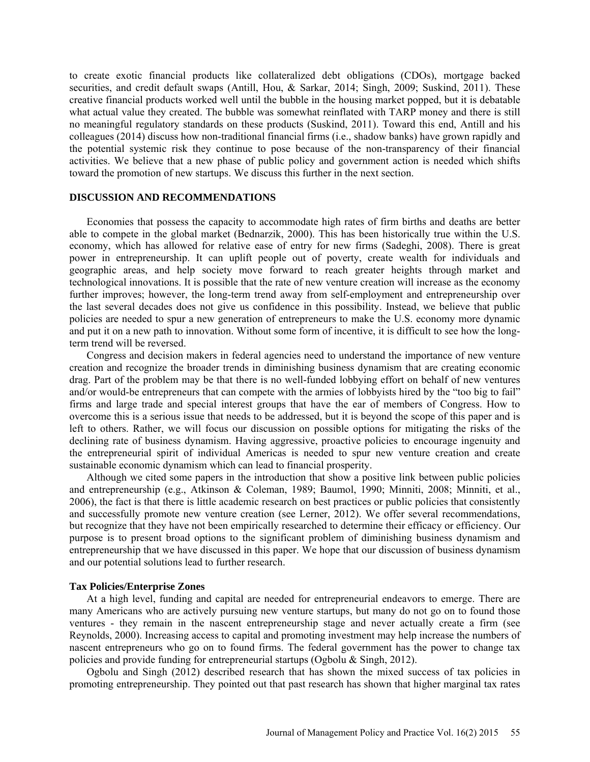to create exotic financial products like collateralized debt obligations (CDOs), mortgage backed securities, and credit default swaps (Antill, Hou, & Sarkar, 2014; Singh, 2009; Suskind, 2011). These creative financial products worked well until the bubble in the housing market popped, but it is debatable what actual value they created. The bubble was somewhat reinflated with TARP money and there is still no meaningful regulatory standards on these products (Suskind, 2011). Toward this end, Antill and his colleagues (2014) discuss how non-traditional financial firms (i.e., shadow banks) have grown rapidly and the potential systemic risk they continue to pose because of the non-transparency of their financial activities. We believe that a new phase of public policy and government action is needed which shifts toward the promotion of new startups. We discuss this further in the next section.

## **DISCUSSION AND RECOMMENDATIONS**

Economies that possess the capacity to accommodate high rates of firm births and deaths are better able to compete in the global market (Bednarzik, 2000). This has been historically true within the U.S. economy, which has allowed for relative ease of entry for new firms (Sadeghi, 2008). There is great power in entrepreneurship. It can uplift people out of poverty, create wealth for individuals and geographic areas, and help society move forward to reach greater heights through market and technological innovations. It is possible that the rate of new venture creation will increase as the economy further improves; however, the long-term trend away from self-employment and entrepreneurship over the last several decades does not give us confidence in this possibility. Instead, we believe that public policies are needed to spur a new generation of entrepreneurs to make the U.S. economy more dynamic and put it on a new path to innovation. Without some form of incentive, it is difficult to see how the longterm trend will be reversed.

Congress and decision makers in federal agencies need to understand the importance of new venture creation and recognize the broader trends in diminishing business dynamism that are creating economic drag. Part of the problem may be that there is no well-funded lobbying effort on behalf of new ventures and/or would-be entrepreneurs that can compete with the armies of lobbyists hired by the "too big to fail" firms and large trade and special interest groups that have the ear of members of Congress. How to overcome this is a serious issue that needs to be addressed, but it is beyond the scope of this paper and is left to others. Rather, we will focus our discussion on possible options for mitigating the risks of the declining rate of business dynamism. Having aggressive, proactive policies to encourage ingenuity and the entrepreneurial spirit of individual Americas is needed to spur new venture creation and create sustainable economic dynamism which can lead to financial prosperity.

Although we cited some papers in the introduction that show a positive link between public policies and entrepreneurship (e.g., Atkinson & Coleman, 1989; Baumol, 1990; Minniti, 2008; Minniti, et al., 2006), the fact is that there is little academic research on best practices or public policies that consistently and successfully promote new venture creation (see Lerner, 2012). We offer several recommendations, but recognize that they have not been empirically researched to determine their efficacy or efficiency. Our purpose is to present broad options to the significant problem of diminishing business dynamism and entrepreneurship that we have discussed in this paper. We hope that our discussion of business dynamism and our potential solutions lead to further research.

#### **Tax Policies/Enterprise Zones**

At a high level, funding and capital are needed for entrepreneurial endeavors to emerge. There are many Americans who are actively pursuing new venture startups, but many do not go on to found those ventures - they remain in the nascent entrepreneurship stage and never actually create a firm (see Reynolds, 2000). Increasing access to capital and promoting investment may help increase the numbers of nascent entrepreneurs who go on to found firms. The federal government has the power to change tax policies and provide funding for entrepreneurial startups (Ogbolu & Singh, 2012).

Ogbolu and Singh (2012) described research that has shown the mixed success of tax policies in promoting entrepreneurship. They pointed out that past research has shown that higher marginal tax rates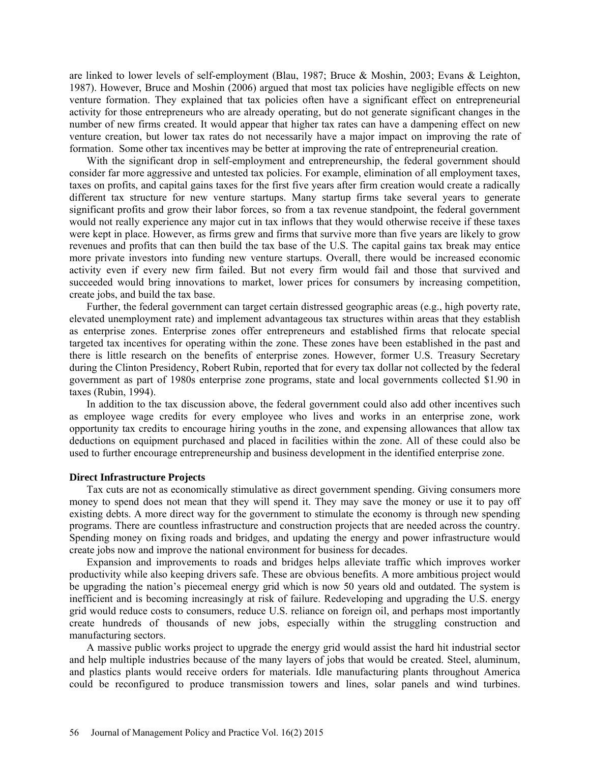are linked to lower levels of self-employment (Blau, 1987; Bruce & Moshin, 2003; Evans & Leighton, 1987). However, Bruce and Moshin (2006) argued that most tax policies have negligible effects on new venture formation. They explained that tax policies often have a significant effect on entrepreneurial activity for those entrepreneurs who are already operating, but do not generate significant changes in the number of new firms created. It would appear that higher tax rates can have a dampening effect on new venture creation, but lower tax rates do not necessarily have a major impact on improving the rate of formation. Some other tax incentives may be better at improving the rate of entrepreneurial creation.

With the significant drop in self-employment and entrepreneurship, the federal government should consider far more aggressive and untested tax policies. For example, elimination of all employment taxes, taxes on profits, and capital gains taxes for the first five years after firm creation would create a radically different tax structure for new venture startups. Many startup firms take several years to generate significant profits and grow their labor forces, so from a tax revenue standpoint, the federal government would not really experience any major cut in tax inflows that they would otherwise receive if these taxes were kept in place. However, as firms grew and firms that survive more than five years are likely to grow revenues and profits that can then build the tax base of the U.S. The capital gains tax break may entice more private investors into funding new venture startups. Overall, there would be increased economic activity even if every new firm failed. But not every firm would fail and those that survived and succeeded would bring innovations to market, lower prices for consumers by increasing competition, create jobs, and build the tax base.

Further, the federal government can target certain distressed geographic areas (e.g., high poverty rate, elevated unemployment rate) and implement advantageous tax structures within areas that they establish as enterprise zones. Enterprise zones offer entrepreneurs and established firms that relocate special targeted tax incentives for operating within the zone. These zones have been established in the past and there is little research on the benefits of enterprise zones. However, former U.S. Treasury Secretary during the Clinton Presidency, Robert Rubin, reported that for every tax dollar not collected by the federal government as part of 1980s enterprise zone programs, state and local governments collected \$1.90 in taxes (Rubin, 1994).

In addition to the tax discussion above, the federal government could also add other incentives such as employee wage credits for every employee who lives and works in an enterprise zone, work opportunity tax credits to encourage hiring youths in the zone, and expensing allowances that allow tax deductions on equipment purchased and placed in facilities within the zone. All of these could also be used to further encourage entrepreneurship and business development in the identified enterprise zone.

#### **Direct Infrastructure Projects**

Tax cuts are not as economically stimulative as direct government spending. Giving consumers more money to spend does not mean that they will spend it. They may save the money or use it to pay off existing debts. A more direct way for the government to stimulate the economy is through new spending programs. There are countless infrastructure and construction projects that are needed across the country. Spending money on fixing roads and bridges, and updating the energy and power infrastructure would create jobs now and improve the national environment for business for decades.

Expansion and improvements to roads and bridges helps alleviate traffic which improves worker productivity while also keeping drivers safe. These are obvious benefits. A more ambitious project would be upgrading the nation's piecemeal energy grid which is now 50 years old and outdated. The system is inefficient and is becoming increasingly at risk of failure. Redeveloping and upgrading the U.S. energy grid would reduce costs to consumers, reduce U.S. reliance on foreign oil, and perhaps most importantly create hundreds of thousands of new jobs, especially within the struggling construction and manufacturing sectors.

A massive public works project to upgrade the energy grid would assist the hard hit industrial sector and help multiple industries because of the many layers of jobs that would be created. Steel, aluminum, and plastics plants would receive orders for materials. Idle manufacturing plants throughout America could be reconfigured to produce transmission towers and lines, solar panels and wind turbines.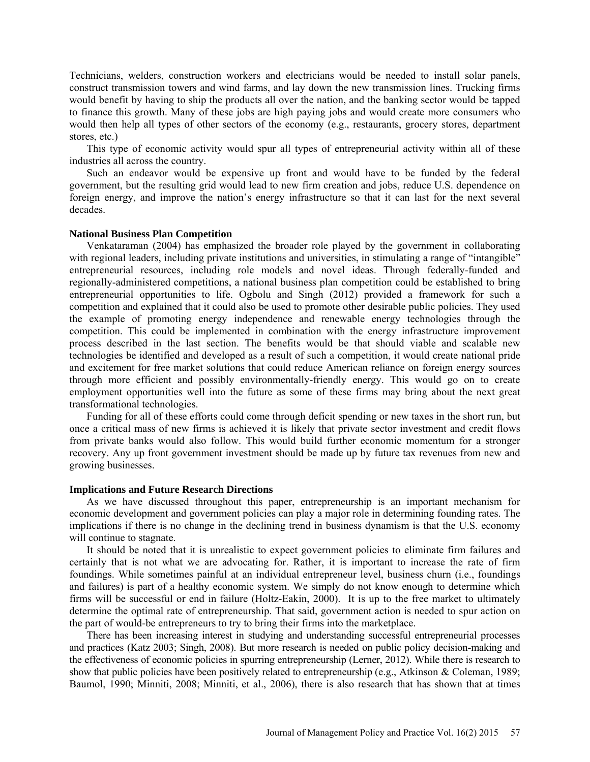Technicians, welders, construction workers and electricians would be needed to install solar panels, construct transmission towers and wind farms, and lay down the new transmission lines. Trucking firms would benefit by having to ship the products all over the nation, and the banking sector would be tapped to finance this growth. Many of these jobs are high paying jobs and would create more consumers who would then help all types of other sectors of the economy (e.g., restaurants, grocery stores, department stores, etc.)

This type of economic activity would spur all types of entrepreneurial activity within all of these industries all across the country.

Such an endeavor would be expensive up front and would have to be funded by the federal government, but the resulting grid would lead to new firm creation and jobs, reduce U.S. dependence on foreign energy, and improve the nation's energy infrastructure so that it can last for the next several decades.

#### **National Business Plan Competition**

Venkataraman (2004) has emphasized the broader role played by the government in collaborating with regional leaders, including private institutions and universities, in stimulating a range of "intangible" entrepreneurial resources, including role models and novel ideas. Through federally-funded and regionally-administered competitions, a national business plan competition could be established to bring entrepreneurial opportunities to life. Ogbolu and Singh (2012) provided a framework for such a competition and explained that it could also be used to promote other desirable public policies. They used the example of promoting energy independence and renewable energy technologies through the competition. This could be implemented in combination with the energy infrastructure improvement process described in the last section. The benefits would be that should viable and scalable new technologies be identified and developed as a result of such a competition, it would create national pride and excitement for free market solutions that could reduce American reliance on foreign energy sources through more efficient and possibly environmentally-friendly energy. This would go on to create employment opportunities well into the future as some of these firms may bring about the next great transformational technologies.

Funding for all of these efforts could come through deficit spending or new taxes in the short run, but once a critical mass of new firms is achieved it is likely that private sector investment and credit flows from private banks would also follow. This would build further economic momentum for a stronger recovery. Any up front government investment should be made up by future tax revenues from new and growing businesses.

#### **Implications and Future Research Directions**

As we have discussed throughout this paper, entrepreneurship is an important mechanism for economic development and government policies can play a major role in determining founding rates. The implications if there is no change in the declining trend in business dynamism is that the U.S. economy will continue to stagnate.

It should be noted that it is unrealistic to expect government policies to eliminate firm failures and certainly that is not what we are advocating for. Rather, it is important to increase the rate of firm foundings. While sometimes painful at an individual entrepreneur level, business churn (i.e., foundings and failures) is part of a healthy economic system. We simply do not know enough to determine which firms will be successful or end in failure (Holtz-Eakin, 2000). It is up to the free market to ultimately determine the optimal rate of entrepreneurship. That said, government action is needed to spur action on the part of would-be entrepreneurs to try to bring their firms into the marketplace.

There has been increasing interest in studying and understanding successful entrepreneurial processes and practices (Katz 2003; Singh, 2008). But more research is needed on public policy decision-making and the effectiveness of economic policies in spurring entrepreneurship (Lerner, 2012). While there is research to show that public policies have been positively related to entrepreneurship (e.g., Atkinson & Coleman, 1989; Baumol, 1990; Minniti, 2008; Minniti, et al., 2006), there is also research that has shown that at times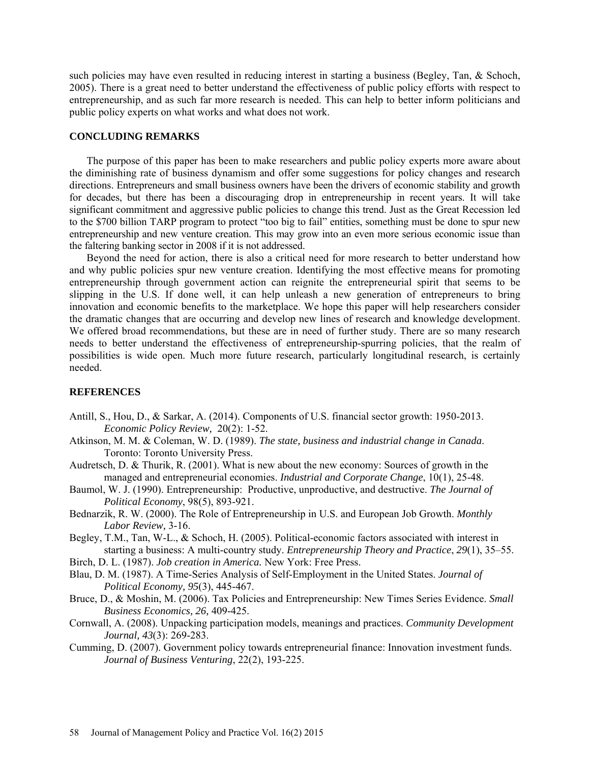such policies may have even resulted in reducing interest in starting a business (Begley, Tan, & Schoch, 2005). There is a great need to better understand the effectiveness of public policy efforts with respect to entrepreneurship, and as such far more research is needed. This can help to better inform politicians and public policy experts on what works and what does not work.

#### **CONCLUDING REMARKS**

The purpose of this paper has been to make researchers and public policy experts more aware about the diminishing rate of business dynamism and offer some suggestions for policy changes and research directions. Entrepreneurs and small business owners have been the drivers of economic stability and growth for decades, but there has been a discouraging drop in entrepreneurship in recent years. It will take significant commitment and aggressive public policies to change this trend. Just as the Great Recession led to the \$700 billion TARP program to protect "too big to fail" entities, something must be done to spur new entrepreneurship and new venture creation. This may grow into an even more serious economic issue than the faltering banking sector in 2008 if it is not addressed.

Beyond the need for action, there is also a critical need for more research to better understand how and why public policies spur new venture creation. Identifying the most effective means for promoting entrepreneurship through government action can reignite the entrepreneurial spirit that seems to be slipping in the U.S. If done well, it can help unleash a new generation of entrepreneurs to bring innovation and economic benefits to the marketplace. We hope this paper will help researchers consider the dramatic changes that are occurring and develop new lines of research and knowledge development. We offered broad recommendations, but these are in need of further study. There are so many research needs to better understand the effectiveness of entrepreneurship-spurring policies, that the realm of possibilities is wide open. Much more future research, particularly longitudinal research, is certainly needed.

# **REFERENCES**

- Antill, S., Hou, D., & Sarkar, A. (2014). Components of U.S. financial sector growth: 1950-2013. *Economic Policy Review,* 20(2): 1-52.
- Atkinson, M. M. & Coleman, W. D. (1989). *The state, business and industrial change in Canada*. Toronto: Toronto University Press.
- Audretsch, D. & Thurik, R. (2001). What is new about the new economy: Sources of growth in the managed and entrepreneurial economies. *Industrial and Corporate Change*, 10(1), 25-48.
- Baumol, W. J. (1990). Entrepreneurship: Productive, unproductive, and destructive. *The Journal of Political Economy*, 98(5), 893-921.
- Bednarzik, R. W. (2000). The Role of Entrepreneurship in U.S. and European Job Growth. *Monthly Labor Review,* 3-16.
- Begley, T.M., Tan, W-L., & Schoch, H. (2005). Political-economic factors associated with interest in starting a business: A multi-country study. *Entrepreneurship Theory and Practice*, *29*(1), 35–55.
- Birch, D. L. (1987). *Job creation in America.* New York: Free Press.
- Blau, D. M. (1987). A Time-Series Analysis of Self-Employment in the United States. *Journal of Political Economy, 95*(3), 445-467.
- Bruce, D., & Moshin, M. (2006). Tax Policies and Entrepreneurship: New Times Series Evidence. *Small Business Economics, 26,* 409-425.
- Cornwall, A. (2008). Unpacking participation models, meanings and practices. *Community Development Journal, 43*(3): 269-283.
- Cumming, D. (2007). Government policy towards entrepreneurial finance: Innovation investment funds. *Journal of Business Venturing*, 22(2), 193-225.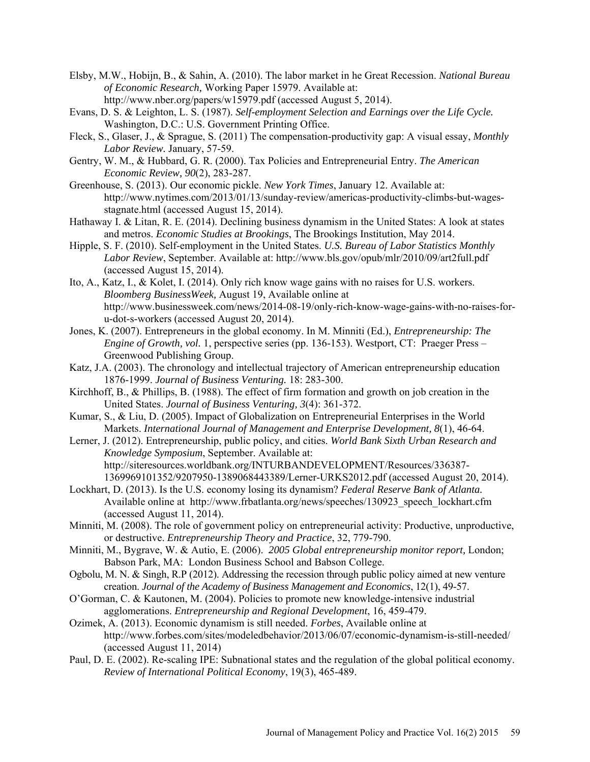- Elsby, M.W., Hobijn, B., & Sahin, A. (2010). The labor market in he Great Recession. *National Bureau of Economic Research,* Working Paper 15979. Available at: <http://www.nber.org/papers/w15979.pdf> (accessed August 5, 2014).
- Evans, D. S. & Leighton, L. S. (1987). *Self-employment Selection and Earnings over the Life Cycle.*  Washington, D.C.: U.S. Government Printing Office.
- Fleck, S., Glaser, J., & Sprague, S. (2011) The compensation-productivity gap: A visual essay, *Monthly Labor Review.* January, 57-59.
- Gentry, W. M., & Hubbard, G. R. (2000). Tax Policies and Entrepreneurial Entry. *The American Economic Review, 90*(2), 283-287.
- Greenhouse, S. (2013). Our economic pickle. *New York Times*, January 12. Available at: http://www.nytimes.com/2013/01/13/sunday-review/americas-productivity-climbs-but-wagesstagnate.html (accessed August 15, 2014).
- Hathaway I. & Litan, R. E. (2014). Declining business dynamism in the United States: A look at states and metros. *Economic Studies at Brookings*, The Brookings Institution, May 2014.
- Hipple, S. F. (2010). Self-employment in the United States. *U.S. Bureau of Labor Statistics Monthly Labor Review*, September. Available at: http://www.bls.gov/opub/mlr/2010/09/art2full.pdf (accessed August 15, 2014).
- Ito, A., Katz, I., & Kolet, I. (2014). Only rich know wage gains with no raises for U.S. workers. *Bloomberg BusinessWeek,* August 19, Available online at http://www.businessweek.com/news/2014-08-19/only-rich-know-wage-gains-with-no-raises-foru-dot-s-workers (accessed August 20, 2014).
- Jones, K. (2007). Entrepreneurs in the global economy. In M. Minniti (Ed.), *Entrepreneurship: The Engine of Growth, vol.* 1, perspective series (pp. 136-153). Westport, CT: Praeger Press – Greenwood Publishing Group.
- Katz, J.A. (2003). The chronology and intellectual trajectory of American entrepreneurship education 1876-1999. *Journal of Business Venturing.* 18: 283-300.
- Kirchhoff, B., & Phillips, B. (1988). The effect of firm formation and growth on job creation in the United States. *Journal of Business Venturing, 3*(4): 361-372.
- Kumar, S., & Liu, D. (2005). Impact of Globalization on Entrepreneurial Enterprises in the World Markets. *International Journal of Management and Enterprise Development, 8*(1), 46-64.
- Lerner, J. (2012). Entrepreneurship, public policy, and cities. *World Bank Sixth Urban Research and Knowledge Symposium*, September. Available at: http://siteresources.worldbank.org/INTURBANDEVELOPMENT/Resources/336387- 1369969101352/9207950-1389068443389/Lerner-URKS2012.pdf (accessed August 20, 2014).
- Lockhart, D. (2013). Is the U.S. economy losing its dynamism? *Federal Reserve Bank of Atlanta.* Available online at http://www.frbatlanta.org/news/speeches/130923\_speech\_lockhart.cfm (accessed August 11, 2014).
- Minniti, M. (2008). The role of government policy on entrepreneurial activity: Productive, unproductive, or destructive. *Entrepreneurship Theory and Practice*, 32, 779-790.
- Minniti, M., Bygrave, W. & Autio, E. (2006). *2005 Global entrepreneurship monitor report,* London; Babson Park, MA: London Business School and Babson College.
- Ogbolu, M. N. & Singh, R.P (2012). Addressing the recession through public policy aimed at new venture creation. *Journal of the Academy of Business Management and Economics*, 12(1), 49-57.
- O'Gorman, C. & Kautonen, M. (2004). Policies to promote new knowledge-intensive industrial agglomerations. *Entrepreneurship and Regional Development*, 16, 459-479.
- Ozimek, A. (2013). Economic dynamism is still needed. *Forbes*, Available online at http://www.forbes.com/sites/modeledbehavior/2013/06/07/economic-dynamism-is-still-needed/ (accessed August 11, 2014)
- Paul, D. E. (2002). Re-scaling IPE: Subnational states and the regulation of the global political economy. *Review of International Political Economy*, 19(3), 465-489.